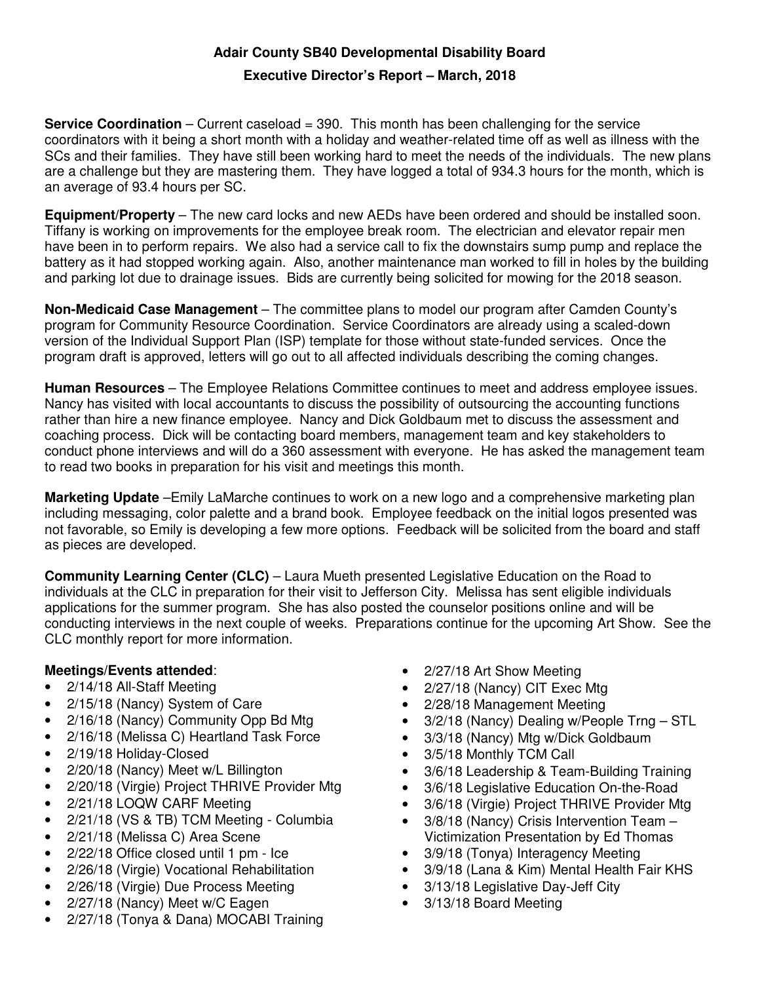## **Adair County SB40 Developmental Disability Board**

## **Executive Director's Report – March, 2018**

**Service Coordination** – Current caseload = 390. This month has been challenging for the service coordinators with it being a short month with a holiday and weather-related time off as well as illness with the SCs and their families. They have still been working hard to meet the needs of the individuals. The new plans are a challenge but they are mastering them. They have logged a total of 934.3 hours for the month, which is an average of 93.4 hours per SC.

**Equipment/Property** – The new card locks and new AEDs have been ordered and should be installed soon. Tiffany is working on improvements for the employee break room. The electrician and elevator repair men have been in to perform repairs. We also had a service call to fix the downstairs sump pump and replace the battery as it had stopped working again. Also, another maintenance man worked to fill in holes by the building and parking lot due to drainage issues. Bids are currently being solicited for mowing for the 2018 season.

**Non-Medicaid Case Management** – The committee plans to model our program after Camden County's program for Community Resource Coordination. Service Coordinators are already using a scaled-down version of the Individual Support Plan (ISP) template for those without state-funded services. Once the program draft is approved, letters will go out to all affected individuals describing the coming changes.

**Human Resources** – The Employee Relations Committee continues to meet and address employee issues. Nancy has visited with local accountants to discuss the possibility of outsourcing the accounting functions rather than hire a new finance employee. Nancy and Dick Goldbaum met to discuss the assessment and coaching process. Dick will be contacting board members, management team and key stakeholders to conduct phone interviews and will do a 360 assessment with everyone. He has asked the management team to read two books in preparation for his visit and meetings this month.

**Marketing Update** –Emily LaMarche continues to work on a new logo and a comprehensive marketing plan including messaging, color palette and a brand book. Employee feedback on the initial logos presented was not favorable, so Emily is developing a few more options. Feedback will be solicited from the board and staff as pieces are developed.

**Community Learning Center (CLC)** – Laura Mueth presented Legislative Education on the Road to individuals at the CLC in preparation for their visit to Jefferson City. Melissa has sent eligible individuals applications for the summer program. She has also posted the counselor positions online and will be conducting interviews in the next couple of weeks. Preparations continue for the upcoming Art Show. See the CLC monthly report for more information.

## **Meetings/Events attended**:

- 2/14/18 All-Staff Meeting
- 2/15/18 (Nancy) System of Care
- 2/16/18 (Nancy) Community Opp Bd Mtg
- 2/16/18 (Melissa C) Heartland Task Force
- 2/19/18 Holiday-Closed
- 2/20/18 (Nancy) Meet w/L Billington
- 2/20/18 (Virgie) Project THRIVE Provider Mtg
- 2/21/18 LOQW CARF Meeting
- 2/21/18 (VS & TB) TCM Meeting Columbia
- 2/21/18 (Melissa C) Area Scene
- 2/22/18 Office closed until 1 pm Ice
- 2/26/18 (Virgie) Vocational Rehabilitation
- 2/26/18 (Virgie) Due Process Meeting
- 2/27/18 (Nancy) Meet w/C Eagen
- 2/27/18 (Tonya & Dana) MOCABI Training
- 2/27/18 Art Show Meeting
- 2/27/18 (Nancy) CIT Exec Mtg
- 2/28/18 Management Meeting
- 3/2/18 (Nancy) Dealing w/People Trng STL
- 3/3/18 (Nancy) Mtg w/Dick Goldbaum
- 3/5/18 Monthly TCM Call
- 3/6/18 Leadership & Team-Building Training
- 3/6/18 Legislative Education On-the-Road
- 3/6/18 (Virgie) Project THRIVE Provider Mtg
- 3/8/18 (Nancy) Crisis Intervention Team -Victimization Presentation by Ed Thomas
- 3/9/18 (Tonya) Interagency Meeting
- 3/9/18 (Lana & Kim) Mental Health Fair KHS
- 3/13/18 Legislative Day-Jeff City
- 3/13/18 Board Meeting